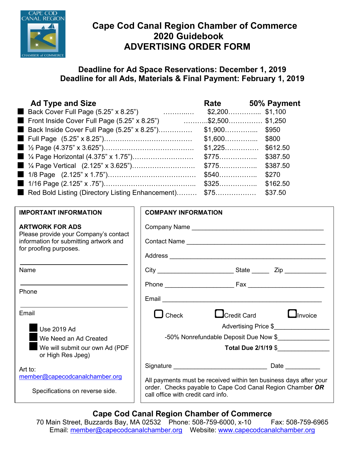

# **Cape Cod Canal Region Chamber of Commerce 2020 Guidebook ADVERTISING ORDER FORM**

# **Deadline for Ad Space Reservations: December 1, 2019 Deadline for all Ads, Materials & Final Payment: February 1, 2019**

| <b>Ad Type and Size</b>                                     | Rate     | 50% Payment      |
|-------------------------------------------------------------|----------|------------------|
| Back Cover Full Page (5.25" x 8.25")                        |          | $$2,200$ \$1,100 |
| Front Inside Cover Full Page (5.25" x 8.25") \$2,500\$1,250 |          |                  |
| Back Inside Cover Full Page (5.25" x 8.25")                 |          |                  |
|                                                             | $$1,600$ | \$800            |
|                                                             |          |                  |
|                                                             | $$775$   | \$387.50         |
| $1\frac{1}{4}$ Page Vertical (2.125" x 3.625")              | $$775$   | \$387.50         |
|                                                             | $$540$   | \$270            |
|                                                             | $$325$   | \$162.50         |
| Red Bold Listing (Directory Listing Enhancement) \$75       |          | \$37.50          |

# **IMPORTANT INFORMATION**

## **ARTWORK FOR ADS**

Please provide your Company's contact information for submitting artwork and for proofing purposes.

Name

Phone

Email

Use 2019 Ad

We Need an Ad Created

We will submit our own Ad (PDF or High Res Jpeg)

Art to: [member@capecodcanalchamber.org](mailto:member@capecodcanalchamber.org)

Specifications on reverse side.

| <b>COMPANY INFORMATION</b>            |                                                                                                                                |  |
|---------------------------------------|--------------------------------------------------------------------------------------------------------------------------------|--|
|                                       |                                                                                                                                |  |
|                                       |                                                                                                                                |  |
|                                       |                                                                                                                                |  |
|                                       |                                                                                                                                |  |
|                                       |                                                                                                                                |  |
|                                       |                                                                                                                                |  |
| $\Box$ Check                          | $\Box$ Credit Card<br>$\Box$ Invoice                                                                                           |  |
|                                       | Advertising Price \$                                                                                                           |  |
| -50% Nonrefundable Deposit Due Now \$ |                                                                                                                                |  |
|                                       | Total Due 2/1/19 \$                                                                                                            |  |
|                                       |                                                                                                                                |  |
| call office with credit card info.    | All payments must be received within ten business days after your<br>order. Checks payable to Cape Cod Canal Region Chamber OR |  |

# **Cape Cod Canal Region Chamber of Commerce**

70 Main Street, Buzzards Bay, MA 02532 Phone: 508-759-6000, x-10 Fax: 508-759-6965 Email: [member@capecodcanalchamber.org](mailto:member@capecodcanalchamber.org) Website: [www.capecodcanalchamber.org](http://www.capecodcanalchamber.org/)